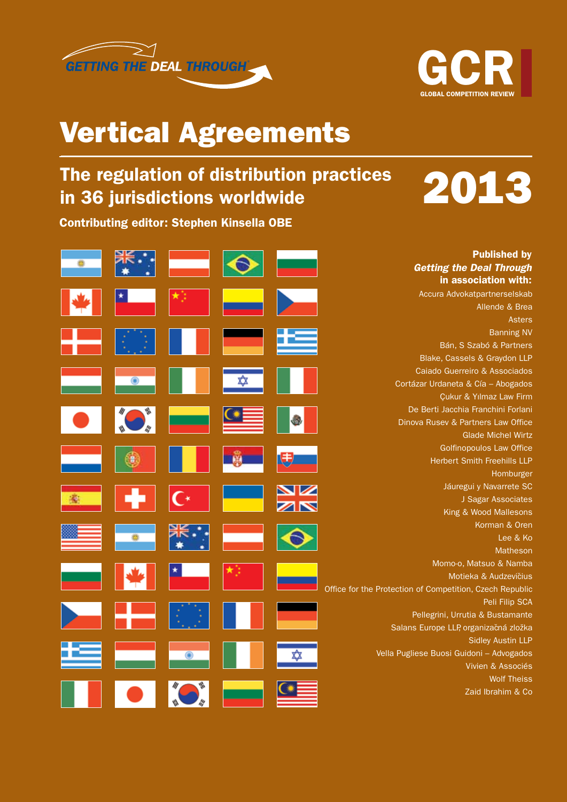



2013

# Vertical Agreements

## The regulation of distribution practices in 36 jurisdictions worldwide

Contributing editor: Stephen Kinsella OBE

|  |  |         | <b>Published by</b>                                      |
|--|--|---------|----------------------------------------------------------|
|  |  |         | <b>Getting the Deal Through</b>                          |
|  |  |         | in association with:                                     |
|  |  |         | Accura Advokatpartnerselskab                             |
|  |  |         | Allende & Brea                                           |
|  |  |         | <b>Asters</b>                                            |
|  |  |         | <b>Banning NV</b>                                        |
|  |  |         | Bán, S Szabó & Partners                                  |
|  |  |         | Blake, Cassels & Graydon LLP                             |
|  |  |         | Caiado Guerreiro & Associados                            |
|  |  |         | Cortázar Urdaneta & Cía - Abogados                       |
|  |  |         | <b>Çukur &amp; Yılmaz Law Firm</b>                       |
|  |  |         | De Berti Jacchia Franchini Forlani                       |
|  |  |         | Dinova Rusev & Partners Law Office                       |
|  |  |         | <b>Glade Michel Wirtz</b>                                |
|  |  |         | <b>Golfinopoulos Law Office</b>                          |
|  |  |         | <b>Herbert Smith Freehills LLP</b>                       |
|  |  |         | Homburger                                                |
|  |  |         | Jáuregui y Navarrete SC                                  |
|  |  | XK<br>X | J Sagar Associates                                       |
|  |  |         | King & Wood Mallesons                                    |
|  |  |         | Korman & Oren                                            |
|  |  |         | Lee & Ko                                                 |
|  |  |         | <b>Matheson</b>                                          |
|  |  |         | Momo-o, Matsuo & Namba                                   |
|  |  |         | Motieka & Audzevičius                                    |
|  |  |         | Office for the Protection of Competition, Czech Republic |
|  |  |         | Peli Filip SCA                                           |
|  |  |         | Pellegrini, Urrutia & Bustamante                         |
|  |  |         | Salans Europe LLP, organizačná zložka                    |
|  |  |         | <b>Sidley Austin LLP</b>                                 |
|  |  |         | Vella Pugliese Buosi Guidoni - Advogados                 |
|  |  |         | Vivien & Associés                                        |
|  |  |         | <b>Wolf Theiss</b>                                       |
|  |  |         | Zaid Ibrahim & Co                                        |
|  |  |         |                                                          |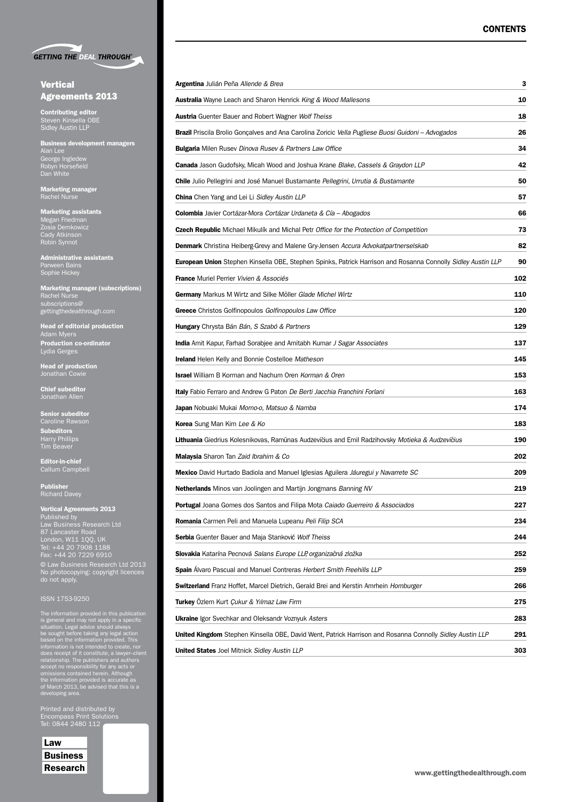

#### **Vertical** Agreements 2013

Contributing editor Steven Kinsella OBE Sidley Austin LLP

Business development managers Alan Lee George Ingledew Robyn Horsefield Dan White

Marketing manager Rachel Nurse

Marketing assistants Megan Friedman Zosia Demkowicz Cady Atkinson Robin Synnot

Administrative assistants Parween Bains Sophie Hickey

Marketing manager (subscriptions) Rachel Nurse subscriptions@ gettingthedealthrough.com

Head of editorial production Adam Myers Production co-ordinator Lydia Gerges

Head of production Jonathan Cowie

Chief subeditor Jonathan Allen

Senior subeditor Subeditors Harry Phillips Tim Beaver

Editor-in-chief Callum Campbell

Publisher Richard Davey

Vertical Agreements 2013 Published by Law Business Research Ltd 87 Lancaster Road London, W11 1QQ, UK Tel: +44 20 7908 1188 Fax: +44 20 7229 6910 © Law Business Research Ltd 2013 No photocopying: copyright licences do not apply.

The information provided in this publication<br>is general and may not apply in a specific<br>situation. Legal advice should always<br>be sought before taking any legal action<br>based on the information provided. This<br>information is

Printed and distributed by Encompass Print Solutions Tel: 0844 2480 112

Law Business Research

| <b>Argentina</b> Julián Peña Allende & Brea                                                                         | 3   |  |  |  |
|---------------------------------------------------------------------------------------------------------------------|-----|--|--|--|
| <b>Australia</b> Wayne Leach and Sharon Henrick King & Wood Mallesons                                               |     |  |  |  |
| <b>Austria</b> Guenter Bauer and Robert Wagner Wolf Theiss                                                          | 18  |  |  |  |
| <b>Brazil</b> Priscila Brolio Gonçalves and Ana Carolina Zoricic <i>Vella Pugliese Buosi Guidoni – Advogados</i>    | 26  |  |  |  |
| <b>Bulgaria</b> Milen Rusev Dinova Rusev & Partners Law Office                                                      | 34  |  |  |  |
| <b>Canada</b> Jason Gudofsky, Micah Wood and Joshua Krane Blake, Cassels & Graydon LLP                              | 42  |  |  |  |
| <b>Chile</b> Julio Pellegrini and José Manuel Bustamante Pellegrini, Urrutia & Bustamante                           | 50  |  |  |  |
| <b>China</b> Chen Yang and Lei Li Sidley Austin LLP                                                                 | 57  |  |  |  |
| <b>Colombia</b> Javier Cortázar-Mora Cortázar Urdaneta & Cía – Abogados                                             | 66  |  |  |  |
| Czech Republic Michael Mikulík and Michal Petr Office for the Protection of Competition                             | 73  |  |  |  |
| <b>Denmark</b> Christina Heiberg-Grevy and Malene Gry-Jensen Accura Advokatpartnerselskab                           | 82  |  |  |  |
| <b>European Union</b> Stephen Kinsella OBE, Stephen Spinks, Patrick Harrison and Rosanna Connolly Sidley Austin LLP | 90  |  |  |  |
| <b>France</b> Muriel Perrier Vivien & Associés                                                                      | 102 |  |  |  |
| Germany Markus M Wirtz and Silke Möller Glade Michel Wirtz                                                          | 110 |  |  |  |
| Greece Christos Golfinopoulos Golfinopoulos Law Office                                                              | 120 |  |  |  |
| <b>Hungary</b> Chrysta Bán Bán, S Szabó & Partners                                                                  | 129 |  |  |  |
| <b>India</b> Amit Kapur, Farhad Sorabjee and Amitabh Kumar J Sagar Associates                                       | 137 |  |  |  |
| <b>Ireland</b> Helen Kelly and Bonnie Costelloe Matheson                                                            | 145 |  |  |  |
| <b>Israel</b> William B Korman and Nachum Oren Korman & Oren                                                        | 153 |  |  |  |
| <b>Italy</b> Fabio Ferraro and Andrew G Paton De Berti Jacchia Franchini Forlani                                    | 163 |  |  |  |
| <b>Japan</b> Nobuaki Mukai <i>Momo-o, Matsuo &amp; Namba</i>                                                        | 174 |  |  |  |
| <b>Korea</b> Sung Man Kim Lee & Ko                                                                                  | 183 |  |  |  |
| Lithuania Giedrius Kolesnikovas, Ramūnas Audzevičius and Emil Radzihovsky Motieka & Audzevičius                     | 190 |  |  |  |
| Malaysia Sharon Tan Zaid Ibrahim & Co                                                                               | 202 |  |  |  |
| <b>Mexico</b> David Hurtado Badiola and Manuel Iglesias Aguilera Jáuregui y Navarrete SC                            | 209 |  |  |  |
| <b>Netherlands</b> Minos van Joolingen and Martijn Jongmans Banning NV                                              | 219 |  |  |  |
| Portugal Joana Gomes dos Santos and Filipa Mota Caiado Guerreiro & Associados                                       | 227 |  |  |  |
| Romania Carmen Peli and Manuela Lupeanu Peli Filip SCA                                                              | 234 |  |  |  |
| Serbia Guenter Bauer and Maja Stanković Wolf Theiss                                                                 | 244 |  |  |  |
| Slovakia Katarína Pecnová Salans Europe LLP, organizačná zložka                                                     | 252 |  |  |  |
| <b>Spain</b> Alvaro Pascual and Manuel Contreras Herbert Smith Freehills LLP                                        | 259 |  |  |  |
| Switzerland Franz Hoffet, Marcel Dietrich, Gerald Brei and Kerstin Amrhein Homburger                                | 266 |  |  |  |
| Turkey Özlem Kurt Çukur & Yılmaz Law Firm                                                                           | 275 |  |  |  |
| <b>Ukraine</b> Igor Svechkar and Oleksandr Voznyuk Asters                                                           | 283 |  |  |  |
| <b>United Kingdom</b> Stephen Kinsella OBE, David Went, Patrick Harrison and Rosanna Connolly Sidley Austin LLP     |     |  |  |  |
| <b>United States</b> Joel Mitnick Sidley Austin LLP                                                                 | 303 |  |  |  |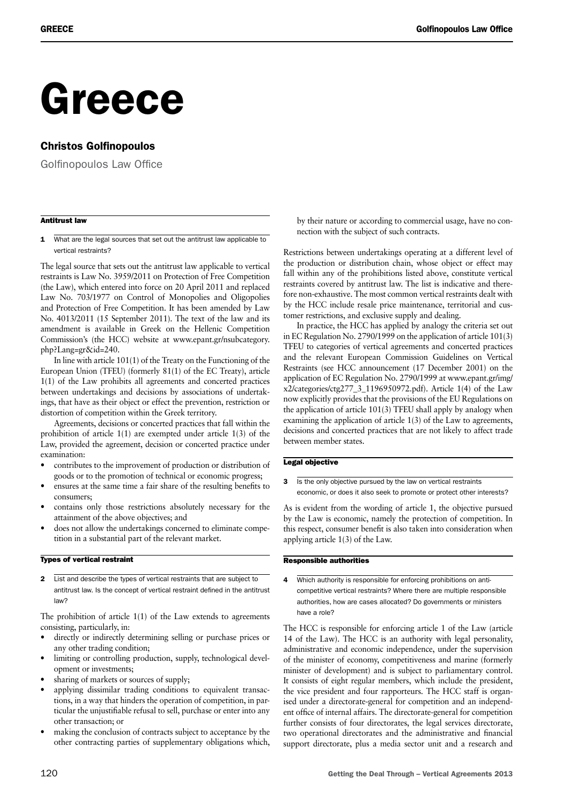# Greece

#### Christos Golfinopoulos

Golfinopoulos Law Office

#### Antitrust law

1 What are the legal sources that set out the antitrust law applicable to vertical restraints?

The legal source that sets out the antitrust law applicable to vertical restraints is Law No. 3959/2011 on Protection of Free Competition (the Law), which entered into force on 20 April 2011 and replaced Law No. 703/1977 on Control of Monopolies and Oligopolies and Protection of Free Competition. It has been amended by Law No. 4013/2011 (15 September 2011). The text of the law and its amendment is available in Greek on the Hellenic Competition Commission's (the HCC) website at www.epant.gr/nsubcategory. php?Lang=gr&id=240.

In line with article 101(1) of the Treaty on the Functioning of the European Union (TFEU) (formerly 81(1) of the EC Treaty), article 1(1) of the Law prohibits all agreements and concerted practices between undertakings and decisions by associations of undertakings, that have as their object or effect the prevention, restriction or distortion of competition within the Greek territory.

Agreements, decisions or concerted practices that fall within the prohibition of article 1(1) are exempted under article 1(3) of the Law, provided the agreement, decision or concerted practice under examination:

- contributes to the improvement of production or distribution of goods or to the promotion of technical or economic progress;
- ensures at the same time a fair share of the resulting benefits to consumers;
- contains only those restrictions absolutely necessary for the attainment of the above objectives; and
- does not allow the undertakings concerned to eliminate competition in a substantial part of the relevant market.

#### Types of vertical restraint

2 List and describe the types of vertical restraints that are subject to antitrust law. Is the concept of vertical restraint defined in the antitrust law?

The prohibition of article 1(1) of the Law extends to agreements consisting, particularly, in:

- directly or indirectly determining selling or purchase prices or any other trading condition;
- limiting or controlling production, supply, technological development or investments;
- sharing of markets or sources of supply;
- applying dissimilar trading conditions to equivalent transactions, in a way that hinders the operation of competition, in particular the unjustifiable refusal to sell, purchase or enter into any other transaction; or
- making the conclusion of contracts subject to acceptance by the other contracting parties of supplementary obligations which,

by their nature or according to commercial usage, have no connection with the subject of such contracts.

Restrictions between undertakings operating at a different level of the production or distribution chain, whose object or effect may fall within any of the prohibitions listed above, constitute vertical restraints covered by antitrust law. The list is indicative and therefore non-exhaustive. The most common vertical restraints dealt with by the HCC include resale price maintenance, territorial and customer restrictions, and exclusive supply and dealing.

In practice, the HCC has applied by analogy the criteria set out in EC Regulation No. 2790/1999 on the application of article 101(3) TFEU to categories of vertical agreements and concerted practices and the relevant European Commission Guidelines on Vertical Restraints (see HCC announcement (17 December 2001) on the application of EC Regulation No. 2790/1999 at www.epant.gr/img/ x2/categories/ctg277\_3\_1196950972.pdf). Article 1(4) of the Law now explicitly provides that the provisions of the EU Regulations on the application of article 101(3) TFEU shall apply by analogy when examining the application of article 1(3) of the Law to agreements, decisions and concerted practices that are not likely to affect trade between member states.

#### Legal objective

3 Is the only objective pursued by the law on vertical restraints economic, or does it also seek to promote or protect other interests?

As is evident from the wording of article 1, the objective pursued by the Law is economic, namely the protection of competition. In this respect, consumer benefit is also taken into consideration when applying article 1(3) of the Law.

#### Responsible authorities

4 Which authority is responsible for enforcing prohibitions on anticompetitive vertical restraints? Where there are multiple responsible authorities, how are cases allocated? Do governments or ministers have a role?

The HCC is responsible for enforcing article 1 of the Law (article 14 of the Law). The HCC is an authority with legal personality, administrative and economic independence, under the supervision of the minister of economy, competitiveness and marine (formerly minister of development) and is subject to parliamentary control. It consists of eight regular members, which include the president, the vice president and four rapporteurs. The HCC staff is organised under a directorate-general for competition and an independent office of internal affairs. The directorate-general for competition further consists of four directorates, the legal services directorate, two operational directorates and the administrative and financial support directorate, plus a media sector unit and a research and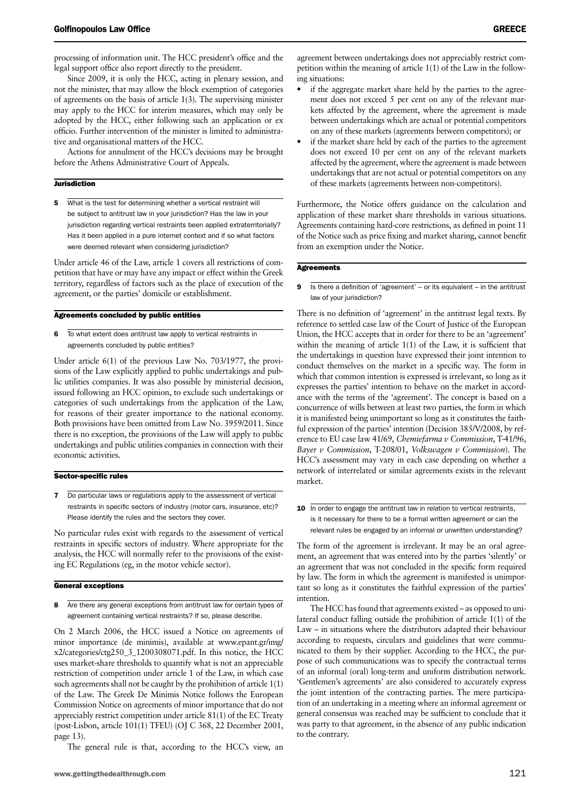processing of information unit. The HCC president's office and the legal support office also report directly to the president.

Since 2009, it is only the HCC, acting in plenary session, and not the minister, that may allow the block exemption of categories of agreements on the basis of article 1(3). The supervising minister may apply to the HCC for interim measures, which may only be adopted by the HCC, either following such an application or ex officio. Further intervention of the minister is limited to administrative and organisational matters of the HCC.

Actions for annulment of the HCC's decisions may be brought before the Athens Administrative Court of Appeals.

#### **Jurisdiction**

5 What is the test for determining whether a vertical restraint will be subject to antitrust law in your jurisdiction? Has the law in your jurisdiction regarding vertical restraints been applied extraterritorially? Has it been applied in a pure internet context and if so what factors were deemed relevant when considering jurisdiction?

Under article 46 of the Law, article 1 covers all restrictions of competition that have or may have any impact or effect within the Greek territory, regardless of factors such as the place of execution of the agreement, or the parties' domicile or establishment.

#### Agreements concluded by public entities

6 To what extent does antitrust law apply to vertical restraints in agreements concluded by public entities?

Under article 6(1) of the previous Law No. 703/1977, the provisions of the Law explicitly applied to public undertakings and public utilities companies. It was also possible by ministerial decision, issued following an HCC opinion, to exclude such undertakings or categories of such undertakings from the application of the Law, for reasons of their greater importance to the national economy. Both provisions have been omitted from Law No. 3959/2011. Since there is no exception, the provisions of the Law will apply to public undertakings and public utilities companies in connection with their economic activities.

#### Sector-specific rules

7 Do particular laws or regulations apply to the assessment of vertical restraints in specific sectors of industry (motor cars, insurance, etc)? Please identify the rules and the sectors they cover.

No particular rules exist with regards to the assessment of vertical restraints in specific sectors of industry. Where appropriate for the analysis, the HCC will normally refer to the provisions of the existing EC Regulations (eg, in the motor vehicle sector).

#### General exceptions

8 Are there any general exceptions from antitrust law for certain types of agreement containing vertical restraints? If so, please describe.

On 2 March 2006, the HCC issued a Notice on agreements of minor importance (de minimis), available at www.epant.gr/img/ x2/categories/ctg250\_3\_1200308071.pdf. In this notice, the HCC uses market-share thresholds to quantify what is not an appreciable restriction of competition under article 1 of the Law, in which case such agreements shall not be caught by the prohibition of article 1(1) of the Law. The Greek De Minimis Notice follows the European Commission Notice on agreements of minor importance that do not appreciably restrict competition under article 81(1) of the EC Treaty (post-Lisbon, article 101(1) TFEU) (OJ C 368, 22 December 2001, page 13).

The general rule is that, according to the HCC's view, an

agreement between undertakings does not appreciably restrict competition within the meaning of article 1(1) of the Law in the following situations:

- if the aggregate market share held by the parties to the agreement does not exceed 5 per cent on any of the relevant markets affected by the agreement, where the agreement is made between undertakings which are actual or potential competitors on any of these markets (agreements between competitors); or
- if the market share held by each of the parties to the agreement does not exceed 10 per cent on any of the relevant markets affected by the agreement, where the agreement is made between undertakings that are not actual or potential competitors on any of these markets (agreements between non-competitors).

Furthermore, the Notice offers guidance on the calculation and application of these market share thresholds in various situations. Agreements containing hard-core restrictions, as defined in point 11 of the Notice such as price fixing and market sharing, cannot benefit from an exemption under the Notice.

#### **Agreements**

9 Is there a definition of 'agreement' – or its equivalent – in the antitrust law of your jurisdiction?

There is no definition of 'agreement' in the antitrust legal texts. By reference to settled case law of the Court of Justice of the European Union, the HCC accepts that in order for there to be an 'agreement' within the meaning of article 1(1) of the Law, it is sufficient that the undertakings in question have expressed their joint intention to conduct themselves on the market in a specific way. The form in which that common intention is expressed is irrelevant, so long as it expresses the parties' intention to behave on the market in accordance with the terms of the 'agreement'. The concept is based on a concurrence of wills between at least two parties, the form in which it is manifested being unimportant so long as it constitutes the faithful expression of the parties' intention (Decision 385/V/2008, by reference to EU case law 41/69, *Chemiefarma v Commission*, T-41/96, *Bayer v Commission*, T-208/01, *Volkswagen v Commission*). The HCC's assessment may vary in each case depending on whether a network of interrelated or similar agreements exists in the relevant market.

10 In order to engage the antitrust law in relation to vertical restraints, is it necessary for there to be a formal written agreement or can the relevant rules be engaged by an informal or unwritten understanding?

The form of the agreement is irrelevant. It may be an oral agreement, an agreement that was entered into by the parties 'silently' or an agreement that was not concluded in the specific form required by law. The form in which the agreement is manifested is unimportant so long as it constitutes the faithful expression of the parties' intention.

The HCC has found that agreements existed – as opposed to unilateral conduct falling outside the prohibition of article 1(1) of the Law – in situations where the distributors adapted their behaviour according to requests, circulars and guidelines that were communicated to them by their supplier. According to the HCC, the purpose of such communications was to specify the contractual terms of an informal (oral) long-term and uniform distribution network. 'Gentlemen's agreements' are also considered to accurately express the joint intention of the contracting parties. The mere participation of an undertaking in a meeting where an informal agreement or general consensus was reached may be sufficient to conclude that it was party to that agreement, in the absence of any public indication to the contrary.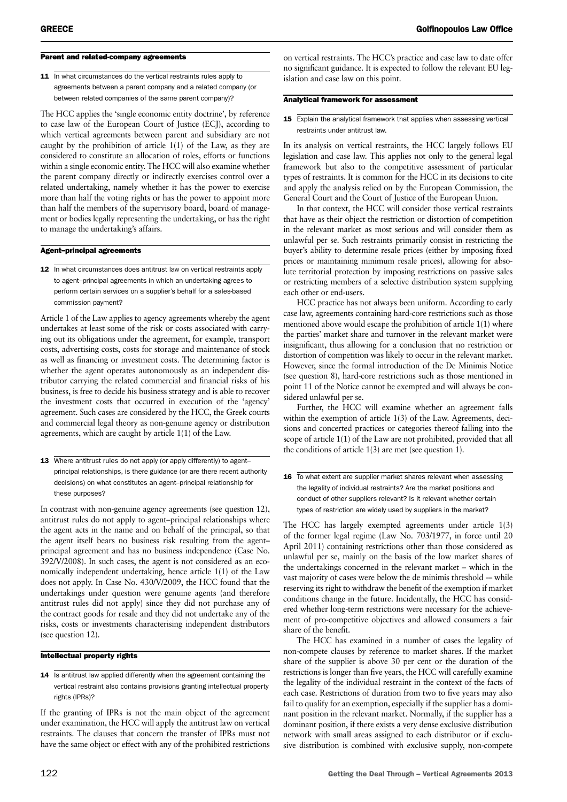#### Parent and related-company agreements

11 In what circumstances do the vertical restraints rules apply to agreements between a parent company and a related company (or between related companies of the same parent company)?

The HCC applies the 'single economic entity doctrine', by reference to case law of the European Court of Justice (ECJ), according to which vertical agreements between parent and subsidiary are not caught by the prohibition of article 1(1) of the Law, as they are considered to constitute an allocation of roles, efforts or functions within a single economic entity. The HCC will also examine whether the parent company directly or indirectly exercises control over a related undertaking, namely whether it has the power to exercise more than half the voting rights or has the power to appoint more than half the members of the supervisory board, board of management or bodies legally representing the undertaking, or has the right to manage the undertaking's affairs.

#### Agent–principal agreements

12 In what circumstances does antitrust law on vertical restraints apply to agent–principal agreements in which an undertaking agrees to perform certain services on a supplier's behalf for a sales-based commission payment?

Article 1 of the Law applies to agency agreements whereby the agent undertakes at least some of the risk or costs associated with carrying out its obligations under the agreement, for example, transport costs, advertising costs, costs for storage and maintenance of stock as well as financing or investment costs. The determining factor is whether the agent operates autonomously as an independent distributor carrying the related commercial and financial risks of his business, is free to decide his business strategy and is able to recover the investment costs that occurred in execution of the 'agency' agreement. Such cases are considered by the HCC, the Greek courts and commercial legal theory as non-genuine agency or distribution agreements, which are caught by article 1(1) of the Law.

13 Where antitrust rules do not apply (or apply differently) to agentprincipal relationships, is there guidance (or are there recent authority decisions) on what constitutes an agent–principal relationship for these purposes?

In contrast with non-genuine agency agreements (see question 12), antitrust rules do not apply to agent–principal relationships where the agent acts in the name and on behalf of the principal, so that the agent itself bears no business risk resulting from the agent– principal agreement and has no business independence (Case No. 392/V/2008). In such cases, the agent is not considered as an economically independent undertaking, hence article 1(1) of the Law does not apply. In Case No. 430/V/2009, the HCC found that the undertakings under question were genuine agents (and therefore antitrust rules did not apply) since they did not purchase any of the contract goods for resale and they did not undertake any of the risks, costs or investments characterising independent distributors (see question 12).

#### Intellectual property rights

14 Is antitrust law applied differently when the agreement containing the vertical restraint also contains provisions granting intellectual property rights (IPRs)?

If the granting of IPRs is not the main object of the agreement under examination, the HCC will apply the antitrust law on vertical restraints. The clauses that concern the transfer of IPRs must not have the same object or effect with any of the prohibited restrictions on vertical restraints. The HCC's practice and case law to date offer no significant guidance. It is expected to follow the relevant EU legislation and case law on this point.

#### Analytical framework for assessment

#### 15 Explain the analytical framework that applies when assessing vertical restraints under antitrust law.

In its analysis on vertical restraints, the HCC largely follows EU legislation and case law. This applies not only to the general legal framework but also to the competitive assessment of particular types of restraints. It is common for the HCC in its decisions to cite and apply the analysis relied on by the European Commission, the General Court and the Court of Justice of the European Union.

In that context, the HCC will consider those vertical restraints that have as their object the restriction or distortion of competition in the relevant market as most serious and will consider them as unlawful per se. Such restraints primarily consist in restricting the buyer's ability to determine resale prices (either by imposing fixed prices or maintaining minimum resale prices), allowing for absolute territorial protection by imposing restrictions on passive sales or restricting members of a selective distribution system supplying each other or end-users.

HCC practice has not always been uniform. According to early case law, agreements containing hard-core restrictions such as those mentioned above would escape the prohibition of article 1(1) where the parties' market share and turnover in the relevant market were insignificant, thus allowing for a conclusion that no restriction or distortion of competition was likely to occur in the relevant market. However, since the formal introduction of the De Minimis Notice (see question 8), hard-core restrictions such as those mentioned in point 11 of the Notice cannot be exempted and will always be considered unlawful per se.

Further, the HCC will examine whether an agreement falls within the exemption of article 1(3) of the Law. Agreements, decisions and concerted practices or categories thereof falling into the scope of article 1(1) of the Law are not prohibited, provided that all the conditions of article 1(3) are met (see question 1).

16 To what extent are supplier market shares relevant when assessing the legality of individual restraints? Are the market positions and conduct of other suppliers relevant? Is it relevant whether certain types of restriction are widely used by suppliers in the market?

The HCC has largely exempted agreements under article 1(3) of the former legal regime (Law No. 703/1977, in force until 20 April 2011) containing restrictions other than those considered as unlawful per se, mainly on the basis of the low market shares of the undertakings concerned in the relevant market – which in the vast majority of cases were below the de minimis threshold -- while reserving its right to withdraw the benefit of the exemption if market conditions change in the future. Incidentally, the HCC has considered whether long-term restrictions were necessary for the achievement of pro-competitive objectives and allowed consumers a fair share of the benefit.

The HCC has examined in a number of cases the legality of non-compete clauses by reference to market shares. If the market share of the supplier is above 30 per cent or the duration of the restrictions is longer than five years, the HCC will carefully examine the legality of the individual restraint in the context of the facts of each case. Restrictions of duration from two to five years may also fail to qualify for an exemption, especially if the supplier has a dominant position in the relevant market. Normally, if the supplier has a dominant position, if there exists a very dense exclusive distribution network with small areas assigned to each distributor or if exclusive distribution is combined with exclusive supply, non-compete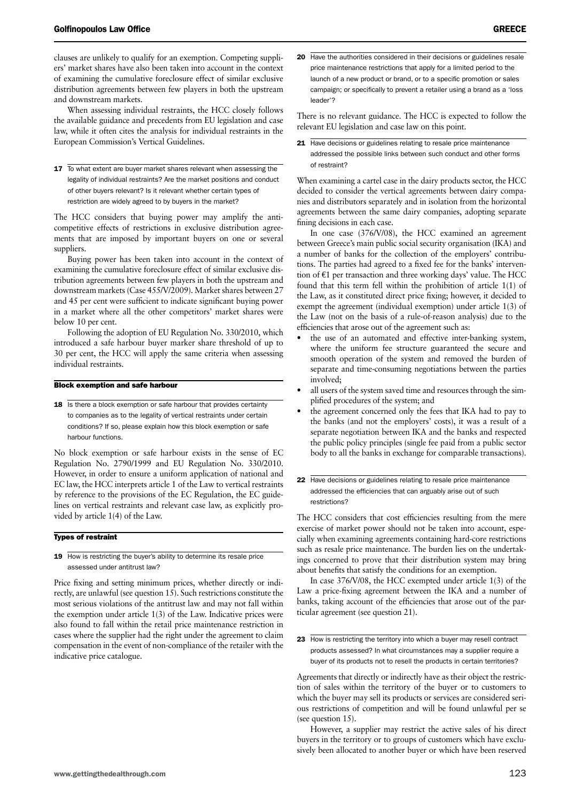clauses are unlikely to qualify for an exemption. Competing suppliers' market shares have also been taken into account in the context of examining the cumulative foreclosure effect of similar exclusive distribution agreements between few players in both the upstream and downstream markets.

When assessing individual restraints, the HCC closely follows the available guidance and precedents from EU legislation and case law, while it often cites the analysis for individual restraints in the European Commission's Vertical Guidelines.

17 To what extent are buyer market shares relevant when assessing the legality of individual restraints? Are the market positions and conduct of other buyers relevant? Is it relevant whether certain types of restriction are widely agreed to by buyers in the market?

The HCC considers that buying power may amplify the anticompetitive effects of restrictions in exclusive distribution agreements that are imposed by important buyers on one or several suppliers.

Buying power has been taken into account in the context of examining the cumulative foreclosure effect of similar exclusive distribution agreements between few players in both the upstream and downstream markets (Case 455/V/2009). Market shares between 27 and 45 per cent were sufficient to indicate significant buying power in a market where all the other competitors' market shares were below 10 per cent.

Following the adoption of EU Regulation No. 330/2010, which introduced a safe harbour buyer marker share threshold of up to 30 per cent, the HCC will apply the same criteria when assessing individual restraints.

#### Block exemption and safe harbour

18 Is there a block exemption or safe harbour that provides certainty to companies as to the legality of vertical restraints under certain conditions? If so, please explain how this block exemption or safe harbour functions.

No block exemption or safe harbour exists in the sense of EC Regulation No. 2790/1999 and EU Regulation No. 330/2010. However, in order to ensure a uniform application of national and EC law, the HCC interprets article 1 of the Law to vertical restraints by reference to the provisions of the EC Regulation, the EC guidelines on vertical restraints and relevant case law, as explicitly provided by article 1(4) of the Law.

#### Types of restraint

19 How is restricting the buyer's ability to determine its resale price assessed under antitrust law?

Price fixing and setting minimum prices, whether directly or indirectly, are unlawful (see question 15). Such restrictions constitute the most serious violations of the antitrust law and may not fall within the exemption under article 1(3) of the Law. Indicative prices were also found to fall within the retail price maintenance restriction in cases where the supplier had the right under the agreement to claim compensation in the event of non-compliance of the retailer with the indicative price catalogue.

20 Have the authorities considered in their decisions or guidelines resale price maintenance restrictions that apply for a limited period to the launch of a new product or brand, or to a specific promotion or sales campaign; or specifically to prevent a retailer using a brand as a 'loss leader'?

There is no relevant guidance. The HCC is expected to follow the relevant EU legislation and case law on this point.

21 Have decisions or guidelines relating to resale price maintenance addressed the possible links between such conduct and other forms of restraint?

When examining a cartel case in the dairy products sector, the HCC decided to consider the vertical agreements between dairy companies and distributors separately and in isolation from the horizontal agreements between the same dairy companies, adopting separate fining decisions in each case.

In one case (376/V/08), the HCC examined an agreement between Greece's main public social security organisation (IKA) and a number of banks for the collection of the employers' contributions. The parties had agreed to a fixed fee for the banks' intervention of €1 per transaction and three working days' value. The HCC found that this term fell within the prohibition of article 1(1) of the Law, as it constituted direct price fixing; however, it decided to exempt the agreement (individual exemption) under article 1(3) of the Law (not on the basis of a rule-of-reason analysis) due to the efficiencies that arose out of the agreement such as:

- the use of an automated and effective inter-banking system, where the uniform fee structure guaranteed the secure and smooth operation of the system and removed the burden of separate and time-consuming negotiations between the parties involved;
- all users of the system saved time and resources through the simplified procedures of the system; and
- the agreement concerned only the fees that IKA had to pay to the banks (and not the employers' costs), it was a result of a separate negotiation between IKA and the banks and respected the public policy principles (single fee paid from a public sector body to all the banks in exchange for comparable transactions).
- 22 Have decisions or guidelines relating to resale price maintenance addressed the efficiencies that can arguably arise out of such restrictions?

The HCC considers that cost efficiencies resulting from the mere exercise of market power should not be taken into account, especially when examining agreements containing hard-core restrictions such as resale price maintenance. The burden lies on the undertakings concerned to prove that their distribution system may bring about benefits that satisfy the conditions for an exemption.

In case 376/V/08, the HCC exempted under article 1(3) of the Law a price-fixing agreement between the IKA and a number of banks, taking account of the efficiencies that arose out of the particular agreement (see question 21).

23 How is restricting the territory into which a buyer may resell contract products assessed? In what circumstances may a supplier require a buyer of its products not to resell the products in certain territories?

Agreements that directly or indirectly have as their object the restriction of sales within the territory of the buyer or to customers to which the buyer may sell its products or services are considered serious restrictions of competition and will be found unlawful per se (see question 15).

However, a supplier may restrict the active sales of his direct buyers in the territory or to groups of customers which have exclusively been allocated to another buyer or which have been reserved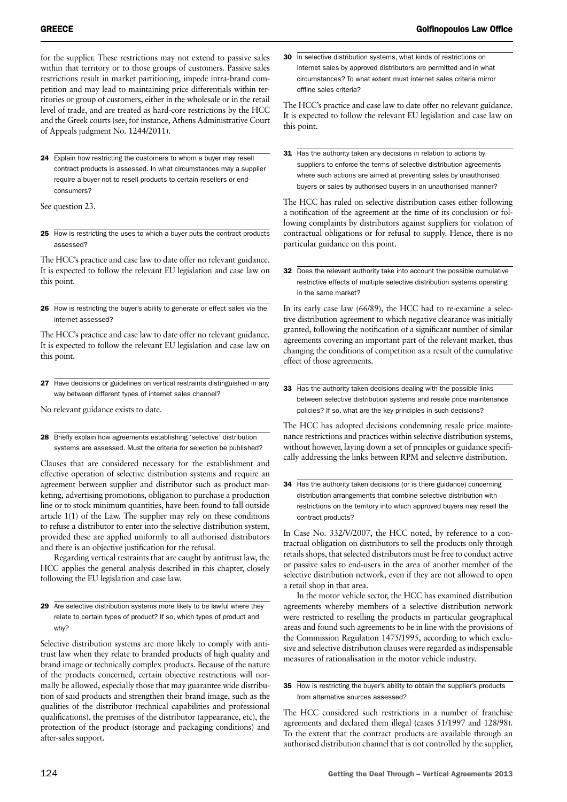for the supplier. These restrictions may not extend to passive sales within that territory or to those groups of customers. Passive sales restrictions result in market partitioning, impede intra-brand competition and may lead to maintaining price differentials within territories or group of customers, either in the wholesale or in the retail level of trade, and are treated as hard-core restrictions by the HCC and the Greek courts (see, for instance, Athens Administrative Court of Appeals judgment No. 1244/2011).

24 Explain how restricting the customers to whom a buyer may resell contract products is assessed. In what circumstances may a supplier require a buyer not to resell products to certain resellers or endconsumers?

See question 23.

25 How is restricting the uses to which a buyer puts the contract products assessed?

The HCC's practice and case law to date offer no relevant guidance. It is expected to follow the relevant EU legislation and case law on this point.

26 How is restricting the buyer's ability to generate or effect sales via the internet assessed?

The HCC's practice and case law to date offer no relevant guidance. It is expected to follow the relevant EU legislation and case law on this point.

27 Have decisions or guidelines on vertical restraints distinguished in any way between different types of internet sales channel?

No relevant guidance exists to date.

28 Briefly explain how agreements establishing 'selective' distribution systems are assessed. Must the criteria for selection be published?

Clauses that are considered necessary for the establishment and effective operation of selective distribution systems and require an agreement between supplier and distributor such as product marketing, advertising promotions, obligation to purchase a production line or to stock minimum quantities, have been found to fall outside article 1(1) of the Law. The supplier may rely on these conditions to refuse a distributor to enter into the selective distribution system, provided these are applied uniformly to all authorised distributors and there is an objective justification for the refusal.

Regarding vertical restraints that are caught by antitrust law, the HCC applies the general analysis described in this chapter, closely following the EU legislation and case law.

29 Are selective distribution systems more likely to be lawful where they relate to certain types of product? If so, which types of product and why?

Selective distribution systems are more likely to comply with antitrust law when they relate to branded products of high quality and brand image or technically complex products. Because of the nature of the products concerned, certain objective restrictions will normally be allowed, especially those that may guarantee wide distribution of said products and strengthen their brand image, such as the qualities of the distributor (technical capabilities and professional qualifications), the premises of the distributor (appearance, etc), the protection of the product (storage and packaging conditions) and after-sales support.

30 In selective distribution systems, what kinds of restrictions on internet sales by approved distributors are permitted and in what circumstances? To what extent must internet sales criteria mirror offline sales criteria?

The HCC's practice and case law to date offer no relevant guidance. It is expected to follow the relevant EU legislation and case law on this point.

31 Has the authority taken any decisions in relation to actions by suppliers to enforce the terms of selective distribution agreements where such actions are aimed at preventing sales by unauthorised buyers or sales by authorised buyers in an unauthorised manner?

The HCC has ruled on selective distribution cases either following a notification of the agreement at the time of its conclusion or following complaints by distributors against suppliers for violation of contractual obligations or for refusal to supply. Hence, there is no particular guidance on this point.

32 Does the relevant authority take into account the possible cumulative restrictive effects of multiple selective distribution systems operating in the same market?

In its early case law (66/89), the HCC had to re-examine a selective distribution agreement to which negative clearance was initially granted, following the notification of a significant number of similar agreements covering an important part of the relevant market, thus changing the conditions of competition as a result of the cumulative effect of those agreements.

33 Has the authority taken decisions dealing with the possible links between selective distribution systems and resale price maintenance policies? If so, what are the key principles in such decisions?

The HCC has adopted decisions condemning resale price maintenance restrictions and practices within selective distribution systems, without however, laying down a set of principles or guidance specifically addressing the links between RPM and selective distribution.

34 Has the authority taken decisions (or is there guidance) concerning distribution arrangements that combine selective distribution with restrictions on the territory into which approved buyers may resell the contract products?

In Case No. 332/V/2007, the HCC noted, by reference to a contractual obligation on distributors to sell the products only through retails shops, that selected distributors must be free to conduct active or passive sales to end-users in the area of another member of the selective distribution network, even if they are not allowed to open a retail shop in that area.

In the motor vehicle sector, the HCC has examined distribution agreements whereby members of a selective distribution network were restricted to reselling the products in particular geographical areas and found such agreements to be in line with the provisions of the Commission Regulation 1475/1995, according to which exclusive and selective distribution clauses were regarded as indispensable measures of rationalisation in the motor vehicle industry.

35 How is restricting the buyer's ability to obtain the supplier's products from alternative sources assessed?

The HCC considered such restrictions in a number of franchise agreements and declared them illegal (cases 51/1997 and 128/98). To the extent that the contract products are available through an authorised distribution channel that is not controlled by the supplier,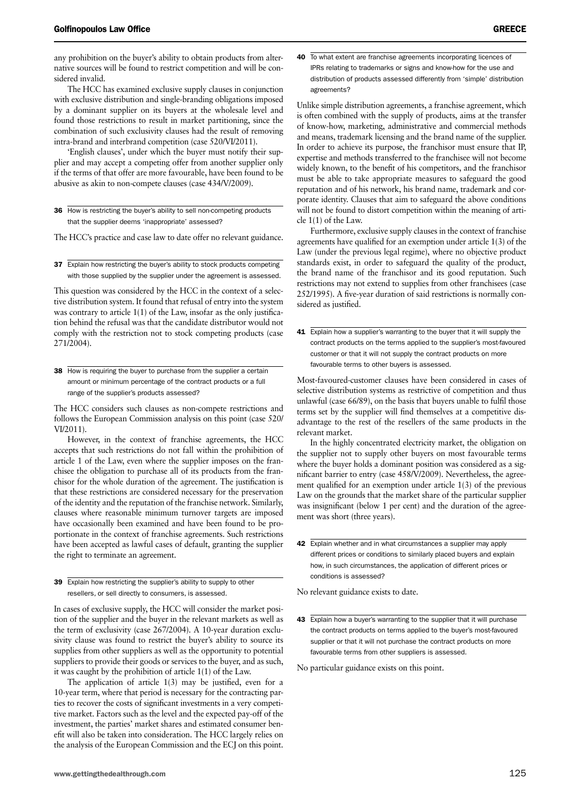any prohibition on the buyer's ability to obtain products from alternative sources will be found to restrict competition and will be considered invalid.

The HCC has examined exclusive supply clauses in conjunction with exclusive distribution and single-branding obligations imposed by a dominant supplier on its buyers at the wholesale level and found those restrictions to result in market partitioning, since the combination of such exclusivity clauses had the result of removing intra-brand and interbrand competition (case 520/VI/2011).

'English clauses', under which the buyer must notify their supplier and may accept a competing offer from another supplier only if the terms of that offer are more favourable, have been found to be abusive as akin to non-compete clauses (case 434/V/2009).

36 How is restricting the buyer's ability to sell non-competing products that the supplier deems 'inappropriate' assessed?

The HCC's practice and case law to date offer no relevant guidance.

37 Explain how restricting the buyer's ability to stock products competing with those supplied by the supplier under the agreement is assessed.

This question was considered by the HCC in the context of a selective distribution system. It found that refusal of entry into the system was contrary to article 1(1) of the Law, insofar as the only justification behind the refusal was that the candidate distributor would not comply with the restriction not to stock competing products (case 271/2004).

38 How is requiring the buyer to purchase from the supplier a certain amount or minimum percentage of the contract products or a full range of the supplier's products assessed?

The HCC considers such clauses as non-compete restrictions and follows the European Commission analysis on this point (case 520/ VI/2011).

However, in the context of franchise agreements, the HCC accepts that such restrictions do not fall within the prohibition of article 1 of the Law, even where the supplier imposes on the franchisee the obligation to purchase all of its products from the franchisor for the whole duration of the agreement. The justification is that these restrictions are considered necessary for the preservation of the identity and the reputation of the franchise network. Similarly, clauses where reasonable minimum turnover targets are imposed have occasionally been examined and have been found to be proportionate in the context of franchise agreements. Such restrictions have been accepted as lawful cases of default, granting the supplier the right to terminate an agreement.

39 Explain how restricting the supplier's ability to supply to other resellers, or sell directly to consumers, is assessed.

In cases of exclusive supply, the HCC will consider the market position of the supplier and the buyer in the relevant markets as well as the term of exclusivity (case 267/2004). A 10-year duration exclusivity clause was found to restrict the buyer's ability to source its supplies from other suppliers as well as the opportunity to potential suppliers to provide their goods or services to the buyer, and as such, it was caught by the prohibition of article 1(1) of the Law.

The application of article 1(3) may be justified, even for a 10-year term, where that period is necessary for the contracting parties to recover the costs of significant investments in a very competitive market. Factors such as the level and the expected pay-off of the investment, the parties' market shares and estimated consumer benefit will also be taken into consideration. The HCC largely relies on the analysis of the European Commission and the ECJ on this point. Unlike simple distribution agreements, a franchise agreement, which is often combined with the supply of products, aims at the transfer of know-how, marketing, administrative and commercial methods and means, trademark licensing and the brand name of the supplier. In order to achieve its purpose, the franchisor must ensure that IP, expertise and methods transferred to the franchisee will not become widely known, to the benefit of his competitors, and the franchisor must be able to take appropriate measures to safeguard the good reputation and of his network, his brand name, trademark and corporate identity. Clauses that aim to safeguard the above conditions will not be found to distort competition within the meaning of article 1(1) of the Law.

Furthermore, exclusive supply clauses in the context of franchise agreements have qualified for an exemption under article 1(3) of the Law (under the previous legal regime), where no objective product standards exist, in order to safeguard the quality of the product, the brand name of the franchisor and its good reputation. Such restrictions may not extend to supplies from other franchisees (case 252/1995). A five-year duration of said restrictions is normally considered as justified.

41 Explain how a supplier's warranting to the buyer that it will supply the contract products on the terms applied to the supplier's most-favoured customer or that it will not supply the contract products on more favourable terms to other buyers is assessed.

Most-favoured-customer clauses have been considered in cases of selective distribution systems as restrictive of competition and thus unlawful (case 66/89), on the basis that buyers unable to fulfil those terms set by the supplier will find themselves at a competitive disadvantage to the rest of the resellers of the same products in the relevant market.

In the highly concentrated electricity market, the obligation on the supplier not to supply other buyers on most favourable terms where the buyer holds a dominant position was considered as a significant barrier to entry (case 458/V/2009). Nevertheless, the agreement qualified for an exemption under article 1(3) of the previous Law on the grounds that the market share of the particular supplier was insignificant (below 1 per cent) and the duration of the agreement was short (three years).

42 Explain whether and in what circumstances a supplier may apply different prices or conditions to similarly placed buyers and explain how, in such circumstances, the application of different prices or conditions is assessed?

No relevant guidance exists to date.

43 Explain how a buyer's warranting to the supplier that it will purchase the contract products on terms applied to the buyer's most-favoured supplier or that it will not purchase the contract products on more favourable terms from other suppliers is assessed.

No particular guidance exists on this point.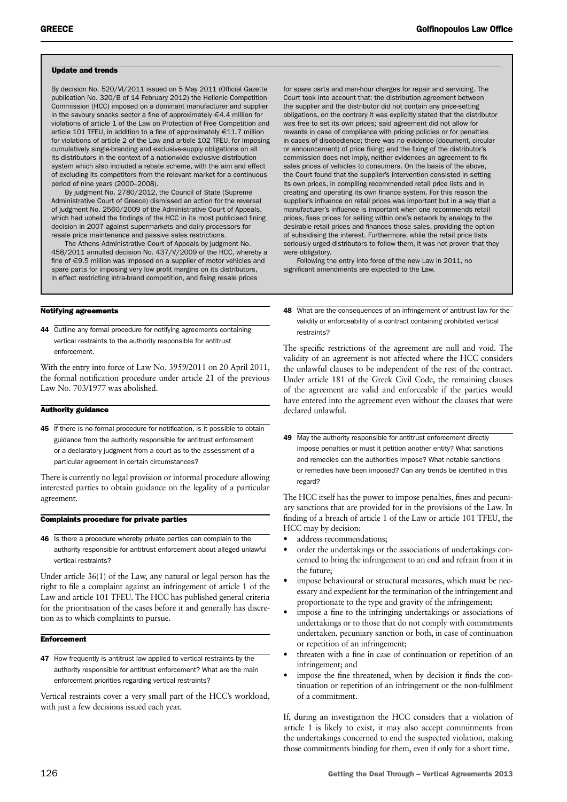#### Update and trends

By decision No. 520/VI/2011 issued on 5 May 2011 (Official Gazette publication No. 320/B of 14 February 2012) the Hellenic Competition Commission (HCC) imposed on a dominant manufacturer and supplier in the savoury snacks sector a fine of approximately  $\in$  4.4 million for violations of article 1 of the Law on Protection of Free Competition and article 101 TFEU, in addition to a fine of approximately €11.7 million for violations of article 2 of the Law and article 102 TFEU, for imposing cumulatively single-branding and exclusive-supply obligations on all its distributors in the context of a nationwide exclusive distribution system which also included a rebate scheme, with the aim and effect of excluding its competitors from the relevant market for a continuous period of nine years (2000–2008).

By judgment No. 2780/2012, the Council of State (Supreme Administrative Court of Greece) dismissed an action for the reversal of judgment No. 2560/2009 of the Administrative Court of Appeals, which had upheld the findings of the HCC in its most publicised fining decision in 2007 against supermarkets and dairy processors for resale price maintenance and passive sales restrictions.

The Athens Administrative Court of Appeals by judgment No. 458/2011 annulled decision No. 437/V/2009 of the HCC, whereby a fine of €9.5 million was imposed on a supplier of motor vehicles and spare parts for imposing very low profit margins on its distributors, in effect restricting intra-brand competition, and fixing resale prices

#### Notifying agreements

44 Outline any formal procedure for notifying agreements containing vertical restraints to the authority responsible for antitrust enforcement.

With the entry into force of Law No. 3959/2011 on 20 April 2011, the formal notification procedure under article 21 of the previous Law No. 703/1977 was abolished.

#### Authority guidance

45 If there is no formal procedure for notification, is it possible to obtain guidance from the authority responsible for antitrust enforcement or a declaratory judgment from a court as to the assessment of a particular agreement in certain circumstances?

There is currently no legal provision or informal procedure allowing interested parties to obtain guidance on the legality of a particular agreement.

#### Complaints procedure for private parties

46 Is there a procedure whereby private parties can complain to the authority responsible for antitrust enforcement about alleged unlawful vertical restraints?

Under article 36(1) of the Law, any natural or legal person has the right to file a complaint against an infringement of article 1 of the Law and article 101 TFEU. The HCC has published general criteria for the prioritisation of the cases before it and generally has discretion as to which complaints to pursue.

#### **Enforcement**

47 How frequently is antitrust law applied to vertical restraints by the authority responsible for antitrust enforcement? What are the main enforcement priorities regarding vertical restraints?

Vertical restraints cover a very small part of the HCC's workload, with just a few decisions issued each year.

for spare parts and man-hour charges for repair and servicing. The Court took into account that: the distribution agreement between the supplier and the distributor did not contain any price-setting obligations, on the contrary it was explicitly stated that the distributor was free to set its own prices; said agreement did not allow for rewards in case of compliance with pricing policies or for penalties in cases of disobedience; there was no evidence (document, circular or announcement) of price fixing; and the fixing of the distributor's commission does not imply, neither evidences an agreement to fix sales prices of vehicles to consumers. On the basis of the above, the Court found that the supplier's intervention consisted in setting its own prices, in compiling recommended retail price lists and in creating and operating its own finance system. For this reason the supplier's influence on retail prices was important but in a way that a manufacturer's influence is important when one recommends retail prices, fixes prices for selling within one's network by analogy to the desirable retail prices and finances those sales, providing the option of subsidising the interest. Furthermore, while the retail price lists seriously urged distributors to follow them, it was not proven that they were obligatory.

Following the entry into force of the new Law in 2011, no significant amendments are expected to the Law.

48 What are the consequences of an infringement of antitrust law for the validity or enforceability of a contract containing prohibited vertical restraints?

The specific restrictions of the agreement are null and void. The validity of an agreement is not affected where the HCC considers the unlawful clauses to be independent of the rest of the contract. Under article 181 of the Greek Civil Code, the remaining clauses of the agreement are valid and enforceable if the parties would have entered into the agreement even without the clauses that were declared unlawful.

49 May the authority responsible for antitrust enforcement directly impose penalties or must it petition another entity? What sanctions and remedies can the authorities impose? What notable sanctions or remedies have been imposed? Can any trends be identified in this regard?

The HCC itself has the power to impose penalties, fines and pecuniary sanctions that are provided for in the provisions of the Law. In finding of a breach of article 1 of the Law or article 101 TFEU, the HCC may by decision:

- address recommendations;
- order the undertakings or the associations of undertakings concerned to bring the infringement to an end and refrain from it in the future;
- impose behavioural or structural measures, which must be necessary and expedient for the termination of the infringement and proportionate to the type and gravity of the infringement;
- impose a fine to the infringing undertakings or associations of undertakings or to those that do not comply with commitments undertaken, pecuniary sanction or both, in case of continuation or repetition of an infringement;
- threaten with a fine in case of continuation or repetition of an infringement; and
- impose the fine threatened, when by decision it finds the continuation or repetition of an infringement or the non-fulfilment of a commitment.

If, during an investigation the HCC considers that a violation of article 1 is likely to exist, it may also accept commitments from the undertakings concerned to end the suspected violation, making those commitments binding for them, even if only for a short time.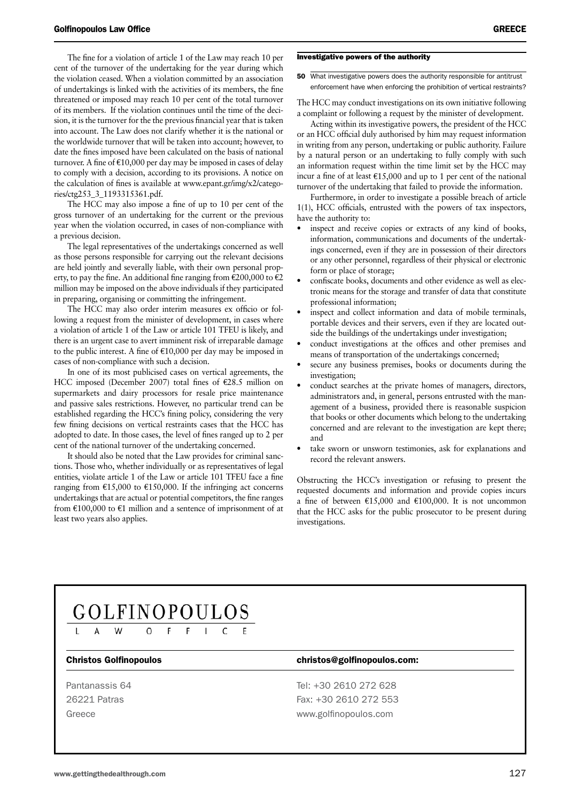The fine for a violation of article 1 of the Law may reach 10 per cent of the turnover of the undertaking for the year during which the violation ceased. When a violation committed by an association of undertakings is linked with the activities of its members, the fine threatened or imposed may reach 10 per cent of the total turnover of its members. If the violation continues until the time of the decision, it is the turnover for the the previous financial year that is taken into account. The Law does not clarify whether it is the national or the worldwide turnover that will be taken into account; however, to date the fines imposed have been calculated on the basis of national turnover. A fine of  $\epsilon$ 10,000 per day may be imposed in cases of delay to comply with a decision, according to its provisions. A notice on the calculation of fines is available at www.epant.gr/img/x2/categories/ctg253\_3\_1193315361.pdf.

The HCC may also impose a fine of up to 10 per cent of the gross turnover of an undertaking for the current or the previous year when the violation occurred, in cases of non-compliance with a previous decision.

The legal representatives of the undertakings concerned as well as those persons responsible for carrying out the relevant decisions are held jointly and severally liable, with their own personal property, to pay the fine. An additional fine ranging from  $\epsilon$ 200,000 to  $\epsilon$ 2 million may be imposed on the above individuals if they participated in preparing, organising or committing the infringement.

The HCC may also order interim measures ex officio or following a request from the minister of development, in cases where a violation of article 1 of the Law or article 101 TFEU is likely, and there is an urgent case to avert imminent risk of irreparable damage to the public interest. A fine of  $£10,000$  per day may be imposed in cases of non-compliance with such a decision.

In one of its most publicised cases on vertical agreements, the HCC imposed (December 2007) total fines of €28.5 million on supermarkets and dairy processors for resale price maintenance and passive sales restrictions. However, no particular trend can be established regarding the HCC's fining policy, considering the very few fining decisions on vertical restraints cases that the HCC has adopted to date. In those cases, the level of fines ranged up to 2 per cent of the national turnover of the undertaking concerned.

It should also be noted that the Law provides for criminal sanctions. Those who, whether individually or as representatives of legal entities, violate article 1 of the Law or article 101 TFEU face a fine ranging from €15,000 to €150,000. If the infringing act concerns undertakings that are actual or potential competitors, the fine ranges from  $\text{\textsterling}100,000$  to  $\text{\textsterling}1$  million and a sentence of imprisonment of at least two years also applies.

#### Investigative powers of the authority

50 What investigative powers does the authority responsible for antitrust enforcement have when enforcing the prohibition of vertical restraints?

The HCC may conduct investigations on its own initiative following a complaint or following a request by the minister of development.

Acting within its investigative powers, the president of the HCC or an HCC official duly authorised by him may request information in writing from any person, undertaking or public authority. Failure by a natural person or an undertaking to fully comply with such an information request within the time limit set by the HCC may incur a fine of at least  $\epsilon$ 15,000 and up to 1 per cent of the national turnover of the undertaking that failed to provide the information.

Furthermore, in order to investigate a possible breach of article 1(1), HCC officials, entrusted with the powers of tax inspectors, have the authority to:

- inspect and receive copies or extracts of any kind of books, information, communications and documents of the undertakings concerned, even if they are in possession of their directors or any other personnel, regardless of their physical or electronic form or place of storage;
- confiscate books, documents and other evidence as well as electronic means for the storage and transfer of data that constitute professional information;
- inspect and collect information and data of mobile terminals, portable devices and their servers, even if they are located outside the buildings of the undertakings under investigation;
- conduct investigations at the offices and other premises and means of transportation of the undertakings concerned;
- secure any business premises, books or documents during the investigation;
- conduct searches at the private homes of managers, directors, administrators and, in general, persons entrusted with the management of a business, provided there is reasonable suspicion that books or other documents which belong to the undertaking concerned and are relevant to the investigation are kept there; and
- take sworn or unsworn testimonies, ask for explanations and record the relevant answers.

Obstructing the HCC's investigation or refusing to present the requested documents and information and provide copies incurs a fine of between  $£15,000$  and  $£100,000$ . It is not uncommon that the HCC asks for the public prosecutor to be present during investigations.

## GOLFINOPOULOS

#### Christos Golfinopoulos christos@golfinopoulos.com:

Pantanassis 64 Tel: +30 2610 272 628 26221 Patras Fax: +30 2610 272 553 Greece www.golfinopoulos.com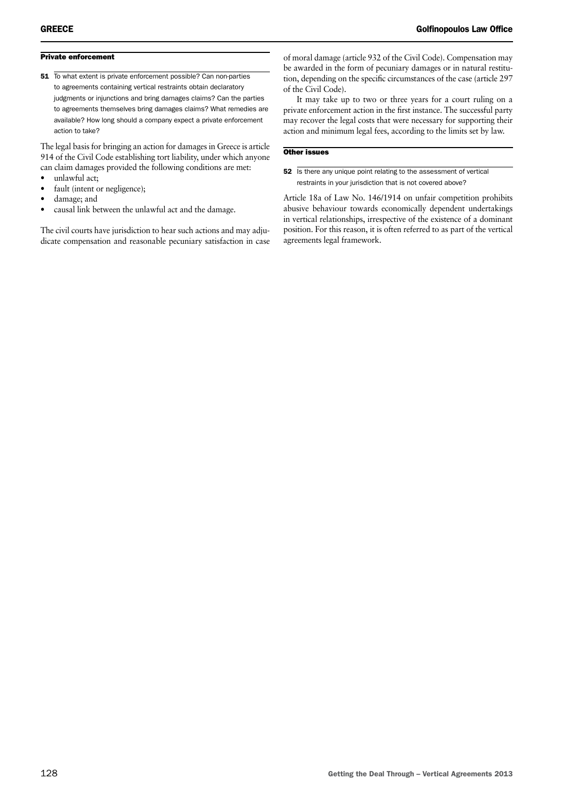#### Private enforcement

51 To what extent is private enforcement possible? Can non-parties to agreements containing vertical restraints obtain declaratory judgments or injunctions and bring damages claims? Can the parties to agreements themselves bring damages claims? What remedies are available? How long should a company expect a private enforcement action to take?

The legal basis for bringing an action for damages in Greece is article 914 of the Civil Code establishing tort liability, under which anyone can claim damages provided the following conditions are met:

- unlawful act;
- fault (intent or negligence);
- damage; and
- causal link between the unlawful act and the damage.

The civil courts have jurisdiction to hear such actions and may adjudicate compensation and reasonable pecuniary satisfaction in case

of moral damage (article 932 of the Civil Code). Compensation may be awarded in the form of pecuniary damages or in natural restitution, depending on the specific circumstances of the case (article 297 of the Civil Code).

It may take up to two or three years for a court ruling on a private enforcement action in the first instance. The successful party may recover the legal costs that were necessary for supporting their action and minimum legal fees, according to the limits set by law.

#### Other issues

52 Is there any unique point relating to the assessment of vertical restraints in your jurisdiction that is not covered above?

Article 18a of Law No. 146/1914 on unfair competition prohibits abusive behaviour towards economically dependent undertakings in vertical relationships, irrespective of the existence of a dominant position. For this reason, it is often referred to as part of the vertical agreements legal framework.